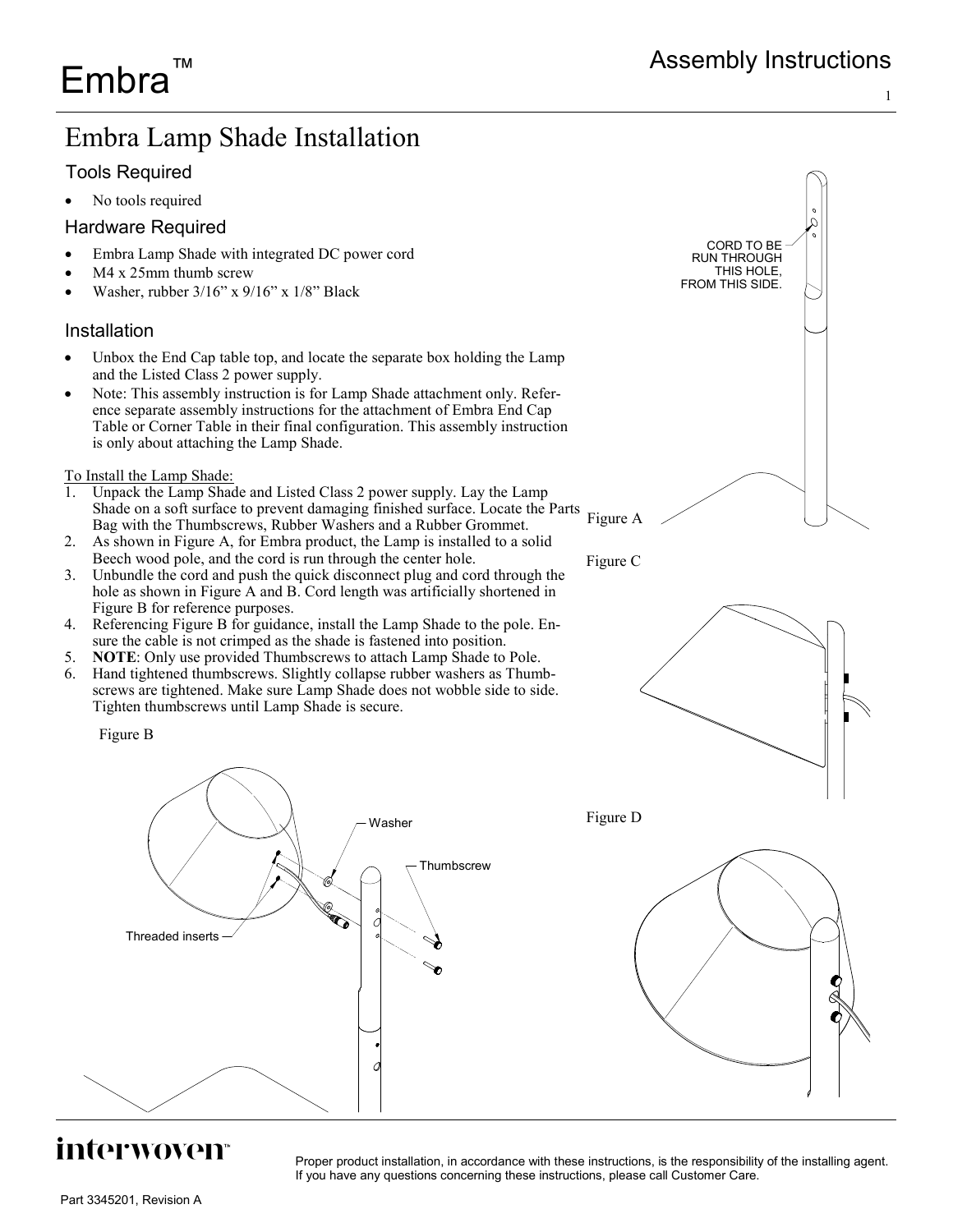## Embra Lamp Shade Installation

### Tools Required

No tools required

#### Hardware Required

- Embra Lamp Shade with integrated DC power cord
- M4 x 25mm thumb screw
- Washer, rubber 3/16" x 9/16" x 1/8" Black

#### Installation

- Unbox the End Cap table top, and locate the separate box holding the Lamp and the Listed Class 2 power supply.
- Note: This assembly instruction is for Lamp Shade attachment only. Reference separate assembly instructions for the attachment of Embra End Cap Table or Corner Table in their final configuration. This assembly instruction is only about attaching the Lamp Shade.

To Install the Lamp Shade:

- 1. Unpack the Lamp Shade and Listed Class 2 power supply. Lay the Lamp Shade on a soft surface to prevent damaging finished surface. Locate the Parts Bag with the Thumbscrews, Rubber Washers and a Rubber Grommet.
- 2. As shown in Figure A, for Embra product, the Lamp is installed to a solid Beech wood pole, and the cord is run through the center hole.
- 3. Unbundle the cord and push the quick disconnect plug and cord through the hole as shown in Figure A and B. Cord length was artificially shortened in Figure B for reference purposes.
- 4. Referencing Figure B for guidance, install the Lamp Shade to the pole. Ensure the cable is not crimped as the shade is fastened into position.
- 5. **NOTE**: Only use provided Thumbscrews to attach Lamp Shade to Pole.
- 6. Hand tightened thumbscrews. Slightly collapse rubber washers as Thumbscrews are tightened. Make sure Lamp Shade does not wobble side to side. Tighten thumbscrews until Lamp Shade is secure.

Figure B



## interwoven<sup></sup>

Proper product installation, in accordance with these instructions, is the responsibility of the installing agent. If you have any questions concerning these instructions, please call Customer Care.